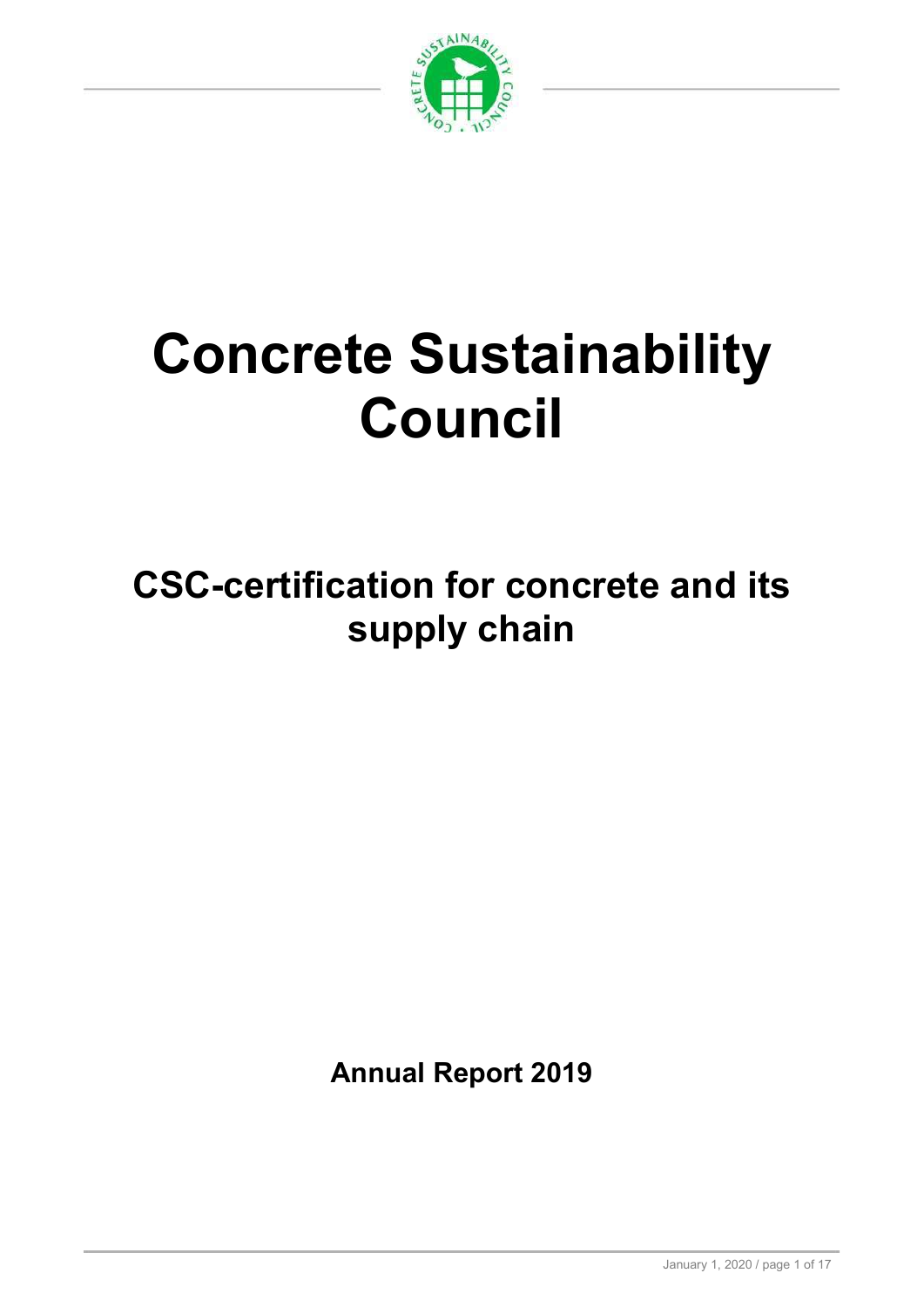

# Concrete Sustainability Council

CSC-certification for concrete and its supply chain

Annual Report 2019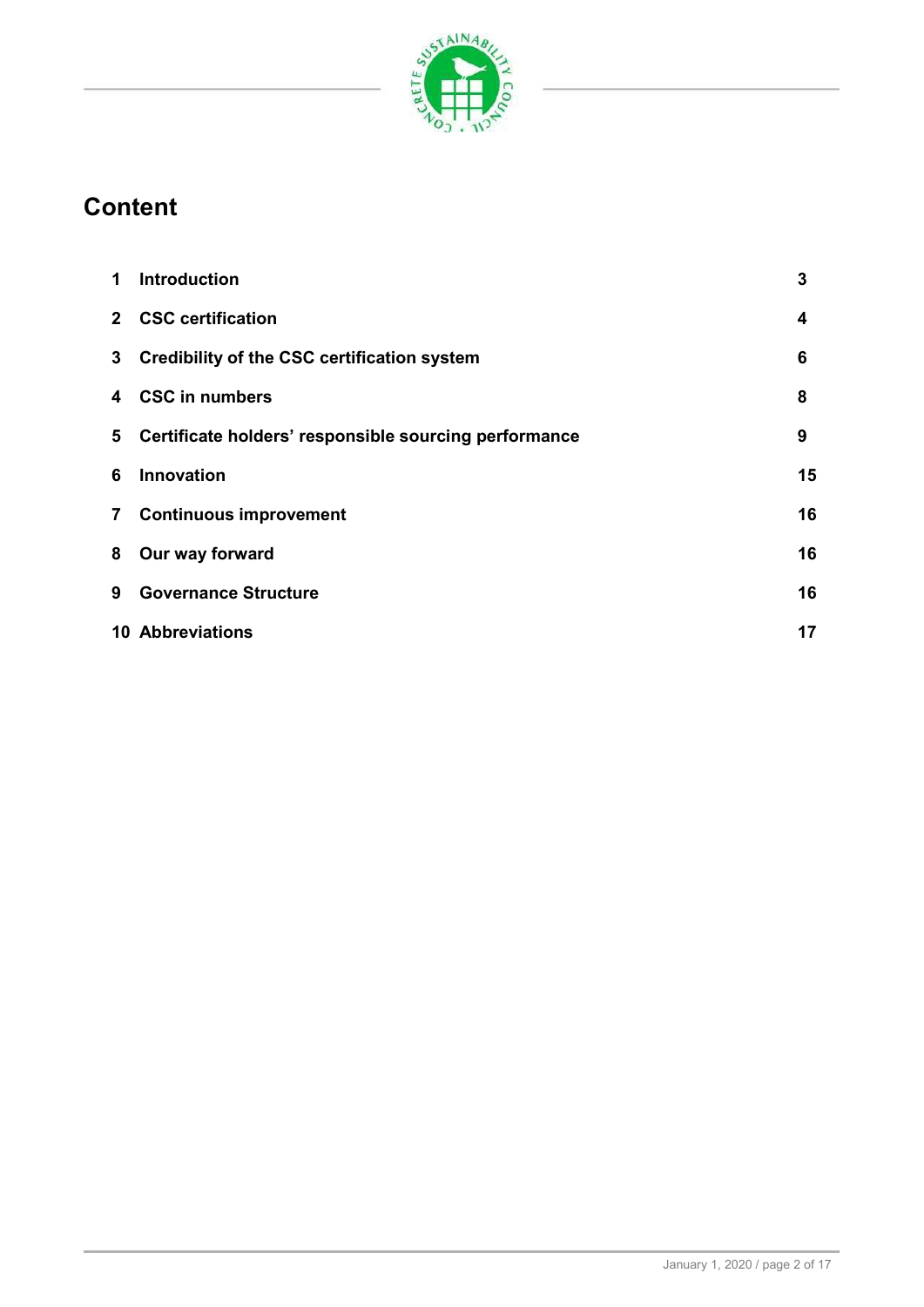

# **Content**

| 1              | <b>Introduction</b>                                   | 3  |
|----------------|-------------------------------------------------------|----|
|                | 2 CSC certification                                   | 4  |
| 3 <sup>7</sup> | Credibility of the CSC certification system           | 6  |
| 4              | <b>CSC in numbers</b>                                 | 8  |
| 5              | Certificate holders' responsible sourcing performance | 9  |
| 6              | <b>Innovation</b>                                     | 15 |
| $\overline{7}$ | <b>Continuous improvement</b>                         | 16 |
| 8              | Our way forward                                       | 16 |
| 9              | <b>Governance Structure</b>                           | 16 |
|                | <b>10 Abbreviations</b>                               | 17 |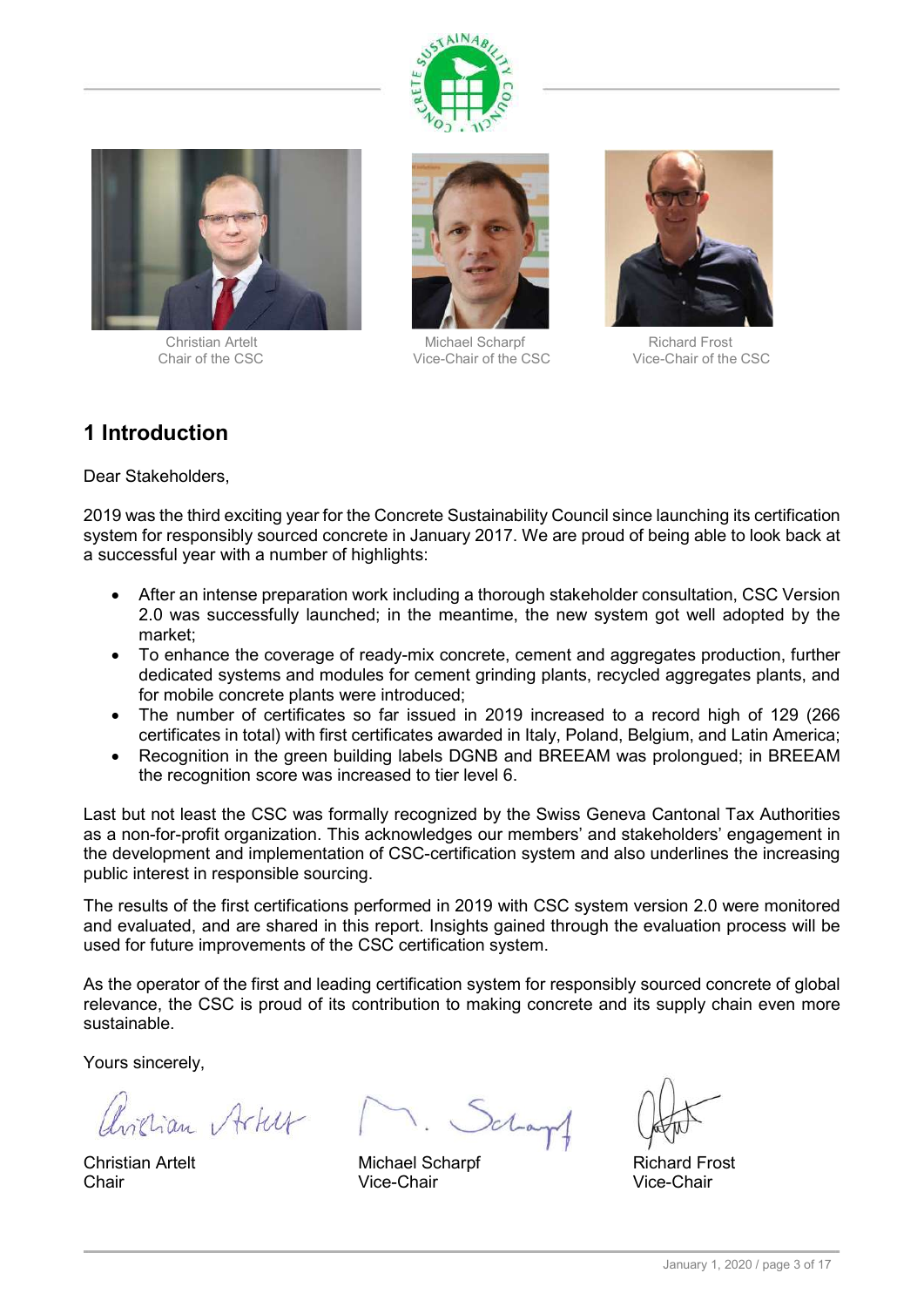





Christian Artelt **Michael Scharpf** Richard Frost Chair of the CSC Vice-Chair of the CSC Vice-Chair of the CSC



# 1 Introduction

Dear Stakeholders,

2019 was the third exciting year for the Concrete Sustainability Council since launching its certification system for responsibly sourced concrete in January 2017. We are proud of being able to look back at a successful year with a number of highlights:

- After an intense preparation work including a thorough stakeholder consultation, CSC Version 2.0 was successfully launched; in the meantime, the new system got well adopted by the market;
- To enhance the coverage of ready-mix concrete, cement and aggregates production, further dedicated systems and modules for cement grinding plants, recycled aggregates plants, and for mobile concrete plants were introduced;
- The number of certificates so far issued in 2019 increased to a record high of 129 (266 certificates in total) with first certificates awarded in Italy, Poland, Belgium, and Latin America;
- Recognition in the green building labels DGNB and BREEAM was prolongued; in BREEAM the recognition score was increased to tier level 6.

Last but not least the CSC was formally recognized by the Swiss Geneva Cantonal Tax Authorities as a non-for-profit organization. This acknowledges our members' and stakeholders' engagement in the development and implementation of CSC-certification system and also underlines the increasing public interest in responsible sourcing.

The results of the first certifications performed in 2019 with CSC system version 2.0 were monitored and evaluated, and are shared in this report. Insights gained through the evaluation process will be used for future improvements of the CSC certification system.

As the operator of the first and leading certification system for responsibly sourced concrete of global relevance, the CSC is proud of its contribution to making concrete and its supply chain even more sustainable.

Yours sincerely,

avician Artur

Christian Artelt **Michael Scharpf** Michael Scharpf Richard Frost Chair Vice-Chair Vice-Chair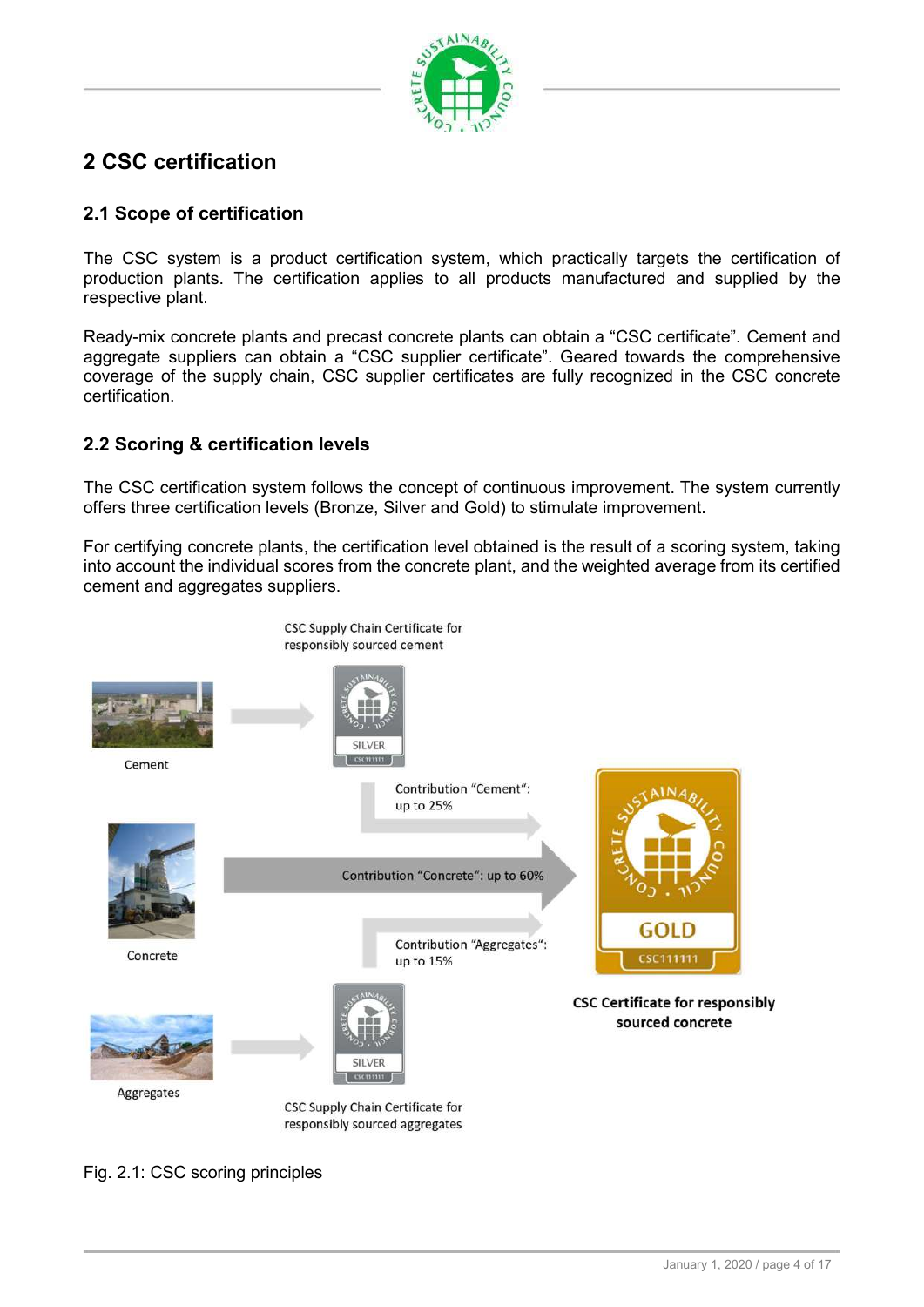

# 2 CSC certification

#### 2.1 Scope of certification

The CSC system is a product certification system, which practically targets the certification of production plants. The certification applies to all products manufactured and supplied by the respective plant.

Ready-mix concrete plants and precast concrete plants can obtain a "CSC certificate". Cement and aggregate suppliers can obtain a "CSC supplier certificate". Geared towards the comprehensive coverage of the supply chain, CSC supplier certificates are fully recognized in the CSC concrete certification.

## 2.2 Scoring & certification levels

The CSC certification system follows the concept of continuous improvement. The system currently offers three certification levels (Bronze, Silver and Gold) to stimulate improvement.

For certifying concrete plants, the certification level obtained is the result of a scoring system, taking into account the individual scores from the concrete plant, and the weighted average from its certified cement and aggregates suppliers.



Fig. 2.1: CSC scoring principles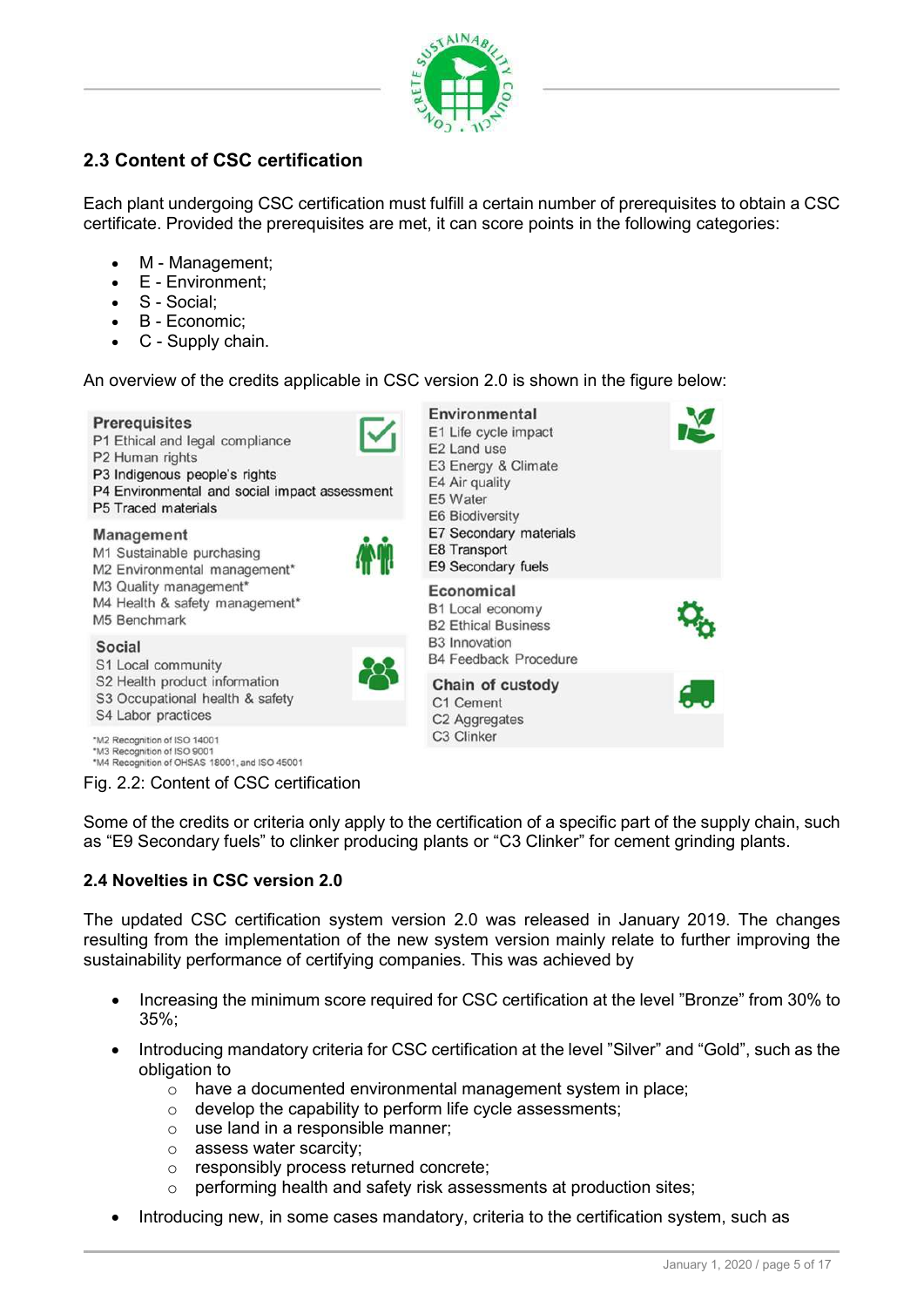

## 2.3 Content of CSC certification

Each plant undergoing CSC certification must fulfill a certain number of prerequisites to obtain a CSC certificate. Provided the prerequisites are met, it can score points in the following categories:

- M Management;
- E Environment;
- S Social;
- B Economic;
- C Supply chain.

An overview of the credits applicable in CSC version 2.0 is shown in the figure below:



Some of the credits or criteria only apply to the certification of a specific part of the supply chain, such as "E9 Secondary fuels" to clinker producing plants or "C3 Clinker" for cement grinding plants.

#### 2.4 Novelties in CSC version 2.0

The updated CSC certification system version 2.0 was released in January 2019. The changes resulting from the implementation of the new system version mainly relate to further improving the sustainability performance of certifying companies. This was achieved by

- Increasing the minimum score required for CSC certification at the level "Bronze" from 30% to 35%;
- Introducing mandatory criteria for CSC certification at the level "Silver" and "Gold", such as the obligation to
	- o have a documented environmental management system in place;
	- $\circ$  develop the capability to perform life cycle assessments;
	- $\circ$  use land in a responsible manner;
	- o assess water scarcity;
	- o responsibly process returned concrete;
	- o performing health and safety risk assessments at production sites;
- Introducing new, in some cases mandatory, criteria to the certification system, such as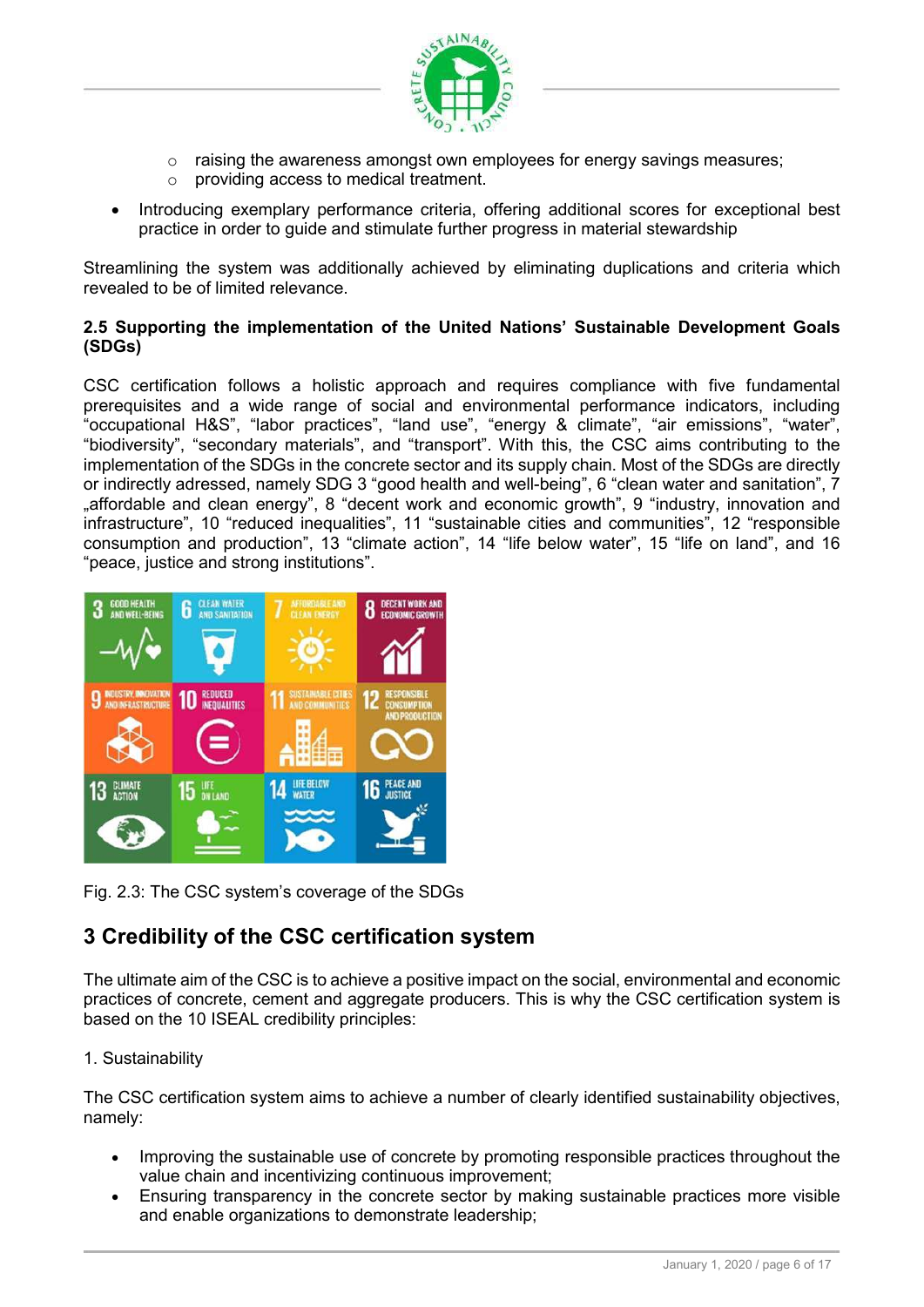

- $\circ$  raising the awareness amongst own employees for energy savings measures;
- o providing access to medical treatment.
- Introducing exemplary performance criteria, offering additional scores for exceptional best practice in order to guide and stimulate further progress in material stewardship

Streamlining the system was additionally achieved by eliminating duplications and criteria which revealed to be of limited relevance.

#### 2.5 Supporting the implementation of the United Nations' Sustainable Development Goals (SDGs)

CSC certification follows a holistic approach and requires compliance with five fundamental prerequisites and a wide range of social and environmental performance indicators, including "occupational H&S", "labor practices", "land use", "energy & climate", "air emissions", "water", "biodiversity", "secondary materials", and "transport". With this, the CSC aims contributing to the implementation of the SDGs in the concrete sector and its supply chain. Most of the SDGs are directly or indirectly adressed, namely SDG 3 "good health and well-being", 6 "clean water and sanitation", 7 .affordable and clean energy", 8 "decent work and economic growth", 9 "industry, innovation and infrastructure", 10 "reduced inequalities", 11 "sustainable cities and communities", 12 "responsible consumption and production", 13 "climate action", 14 "life below water", 15 "life on land", and 16 "peace, justice and strong institutions".



Fig. 2.3: The CSC system's coverage of the SDGs

# 3 Credibility of the CSC certification system

The ultimate aim of the CSC is to achieve a positive impact on the social, environmental and economic practices of concrete, cement and aggregate producers. This is why the CSC certification system is based on the 10 ISEAL credibility principles:

#### 1. Sustainability

The CSC certification system aims to achieve a number of clearly identified sustainability objectives, namely:

- Improving the sustainable use of concrete by promoting responsible practices throughout the value chain and incentivizing continuous improvement;
- Ensuring transparency in the concrete sector by making sustainable practices more visible and enable organizations to demonstrate leadership;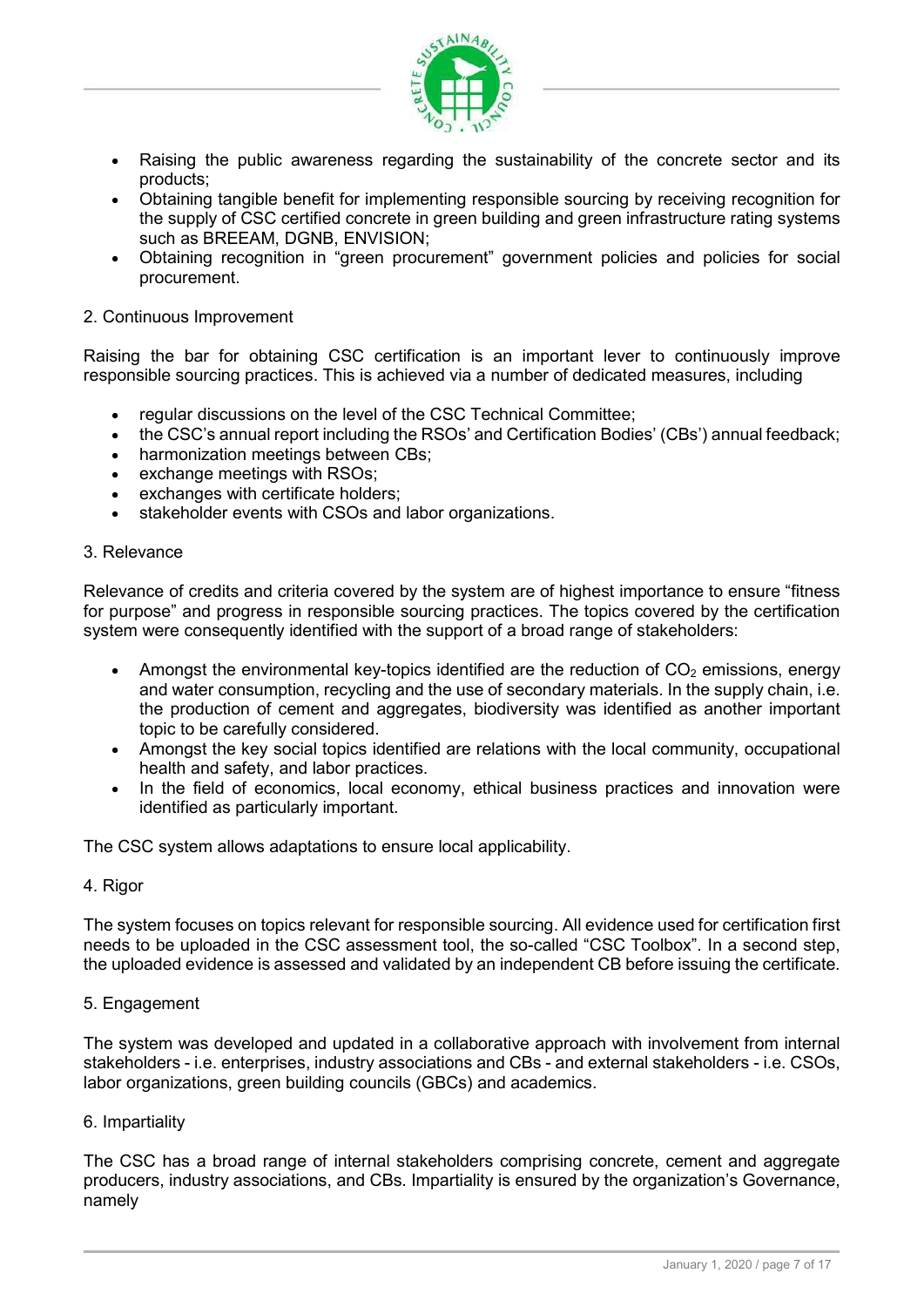

- Raising the public awareness regarding the sustainability of the concrete sector and its products;
- Obtaining tangible benefit for implementing responsible sourcing by receiving recognition for the supply of CSC certified concrete in green building and green infrastructure rating systems such as BREEAM, DGNB, ENVISION;
- Obtaining recognition in "green procurement" government policies and policies for social procurement.

#### 2. Continuous Improvement

Raising the bar for obtaining CSC certification is an important lever to continuously improve responsible sourcing practices. This is achieved via a number of dedicated measures, including

- regular discussions on the level of the CSC Technical Committee;
- the CSC's annual report including the RSOs' and Certification Bodies' (CBs') annual feedback;
- harmonization meetings between CBs:
- exchange meetings with RSOs;
- exchanges with certificate holders;
- stakeholder events with CSOs and labor organizations.

#### 3. Relevance

Relevance of credits and criteria covered by the system are of highest importance to ensure "fitness for purpose" and progress in responsible sourcing practices. The topics covered by the certification system were consequently identified with the support of a broad range of stakeholders:

- Amongst the environmental key-topics identified are the reduction of  $CO<sub>2</sub>$  emissions, energy and water consumption, recycling and the use of secondary materials. In the supply chain, i.e. the production of cement and aggregates, biodiversity was identified as another important topic to be carefully considered.
- Amongst the key social topics identified are relations with the local community, occupational health and safety, and labor practices.
- In the field of economics, local economy, ethical business practices and innovation were identified as particularly important.

The CSC system allows adaptations to ensure local applicability.

#### 4. Rigor

The system focuses on topics relevant for responsible sourcing. All evidence used for certification first needs to be uploaded in the CSC assessment tool, the so-called "CSC Toolbox". In a second step, the uploaded evidence is assessed and validated by an independent CB before issuing the certificate.

#### 5. Engagement

The system was developed and updated in a collaborative approach with involvement from internal stakeholders - i.e. enterprises, industry associations and CBs - and external stakeholders - i.e. CSOs, labor organizations, green building councils (GBCs) and academics.

#### 6. Impartiality

The CSC has a broad range of internal stakeholders comprising concrete, cement and aggregate producers, industry associations, and CBs. Impartiality is ensured by the organization's Governance, namely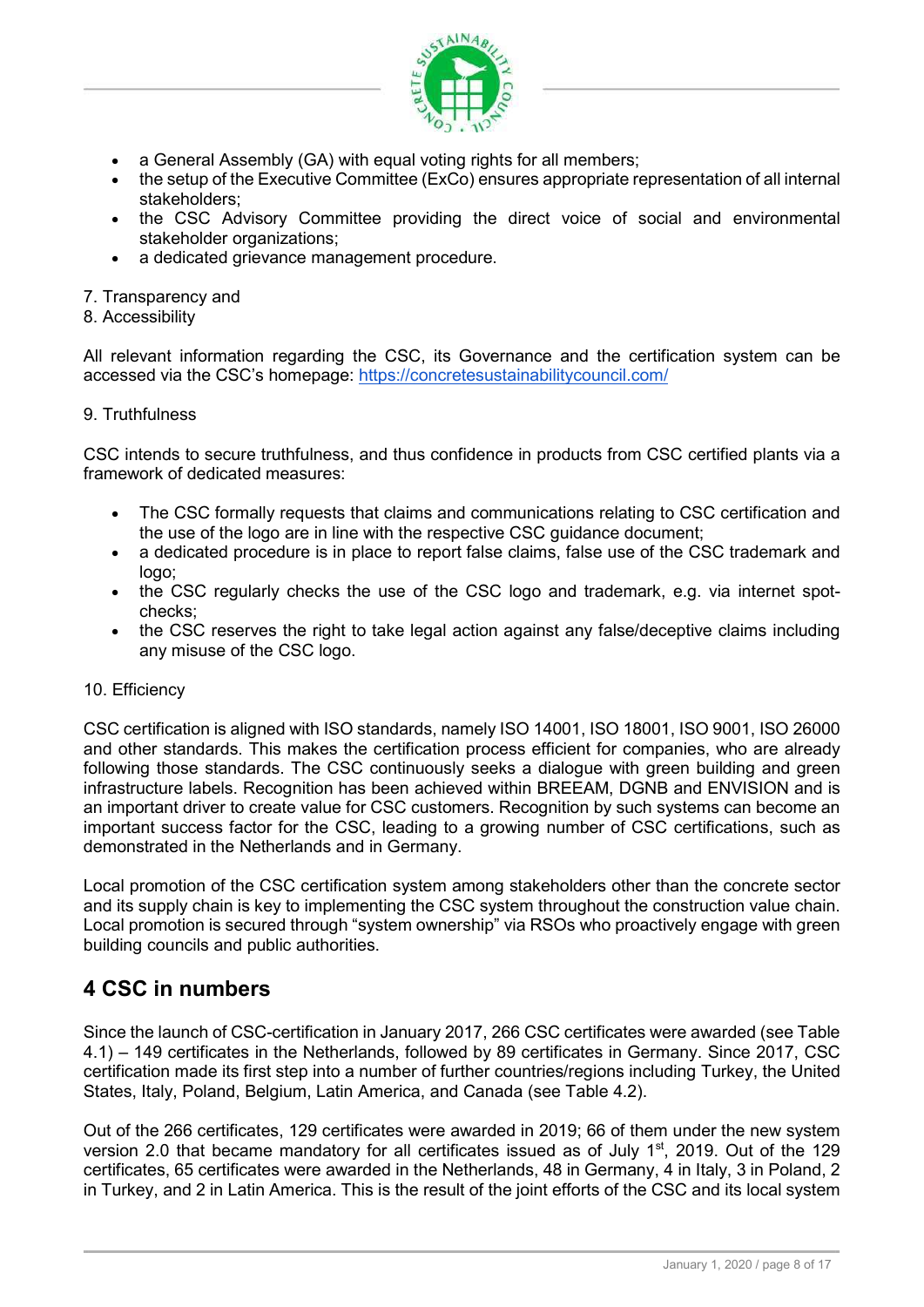

- a General Assembly (GA) with equal voting rights for all members;
- the setup of the Executive Committee (ExCo) ensures appropriate representation of all internal stakeholders;
- the CSC Advisory Committee providing the direct voice of social and environmental stakeholder organizations;
- a dedicated grievance management procedure.
- 7. Transparency and
- 8. Accessibility

All relevant information regarding the CSC, its Governance and the certification system can be accessed via the CSC's homepage: https://concretesustainabilitycouncil.com/

9. Truthfulness

CSC intends to secure truthfulness, and thus confidence in products from CSC certified plants via a framework of dedicated measures:

- The CSC formally requests that claims and communications relating to CSC certification and the use of the logo are in line with the respective CSC guidance document;
- a dedicated procedure is in place to report false claims, false use of the CSC trademark and logo;
- the CSC regularly checks the use of the CSC logo and trademark, e.g. via internet spotchecks;
- the CSC reserves the right to take legal action against any false/deceptive claims including any misuse of the CSC logo.

#### 10. Efficiency

CSC certification is aligned with ISO standards, namely ISO 14001, ISO 18001, ISO 9001, ISO 26000 and other standards. This makes the certification process efficient for companies, who are already following those standards. The CSC continuously seeks a dialogue with green building and green infrastructure labels. Recognition has been achieved within BREEAM, DGNB and ENVISION and is an important driver to create value for CSC customers. Recognition by such systems can become an important success factor for the CSC, leading to a growing number of CSC certifications, such as demonstrated in the Netherlands and in Germany.

Local promotion of the CSC certification system among stakeholders other than the concrete sector and its supply chain is key to implementing the CSC system throughout the construction value chain. Local promotion is secured through "system ownership" via RSOs who proactively engage with green building councils and public authorities.

## 4 CSC in numbers

Since the launch of CSC-certification in January 2017, 266 CSC certificates were awarded (see Table 4.1) – 149 certificates in the Netherlands, followed by 89 certificates in Germany. Since 2017, CSC certification made its first step into a number of further countries/regions including Turkey, the United States, Italy, Poland, Belgium, Latin America, and Canada (see Table 4.2).

Out of the 266 certificates, 129 certificates were awarded in 2019; 66 of them under the new system version 2.0 that became mandatory for all certificates issued as of July 1<sup>st</sup>, 2019. Out of the 129 certificates, 65 certificates were awarded in the Netherlands, 48 in Germany, 4 in Italy, 3 in Poland, 2 in Turkey, and 2 in Latin America. This is the result of the joint efforts of the CSC and its local system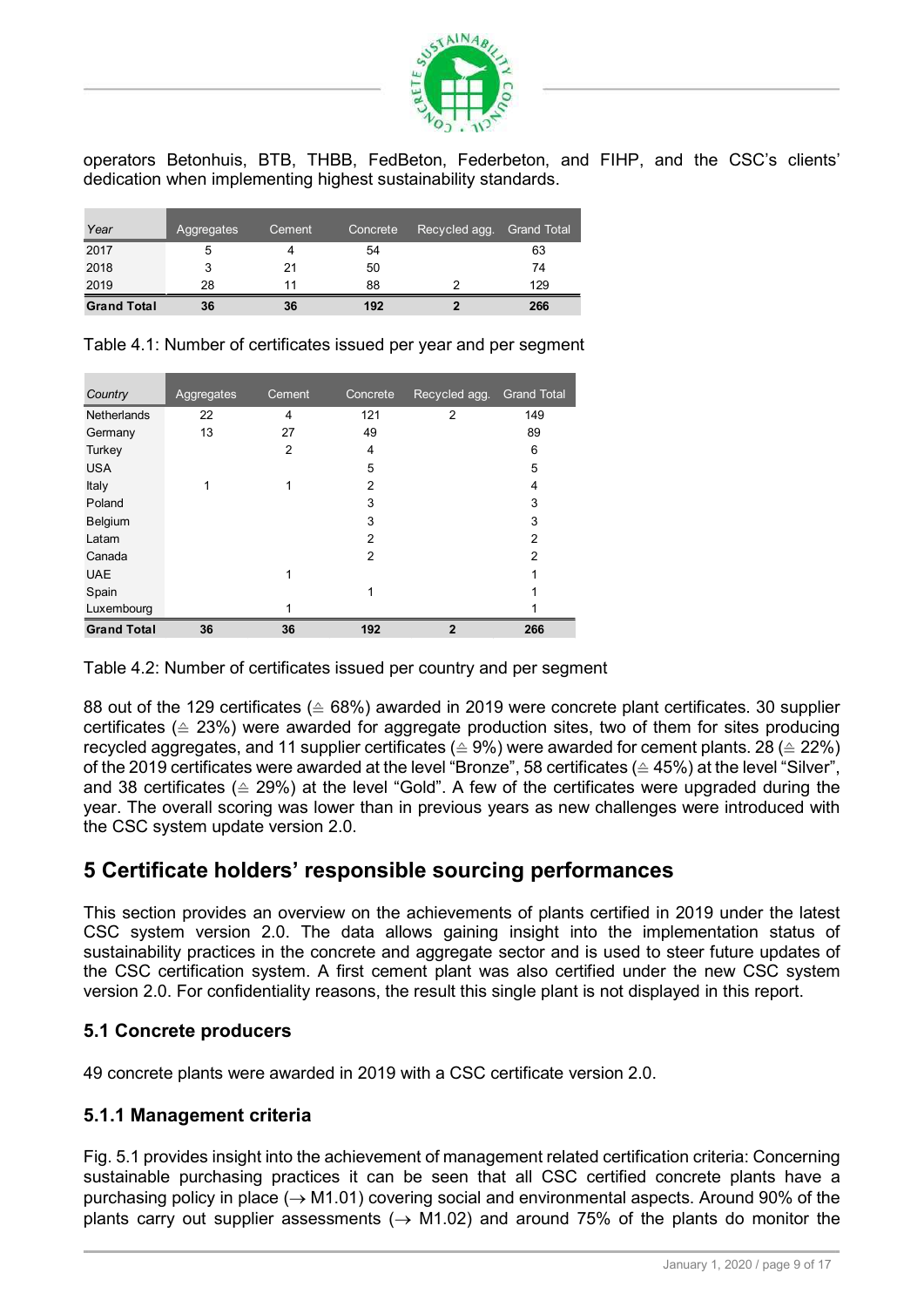

|                      |            |        |          | SUSTAINA,                                                      |                                                                                        |  |  |
|----------------------|------------|--------|----------|----------------------------------------------------------------|----------------------------------------------------------------------------------------|--|--|
|                      |            |        |          | RETE                                                           |                                                                                        |  |  |
|                      |            |        |          |                                                                |                                                                                        |  |  |
|                      |            |        |          |                                                                |                                                                                        |  |  |
|                      |            |        |          |                                                                |                                                                                        |  |  |
|                      |            |        |          |                                                                |                                                                                        |  |  |
|                      |            |        |          | dedication when implementing highest sustainability standards. | operators Betonhuis, BTB, THBB, FedBeton, Federbeton, and FIHP, and the CSC's clients' |  |  |
|                      |            |        |          |                                                                |                                                                                        |  |  |
| Year                 | Aggregates | Cement | Concrete | Recycled agg.                                                  | <b>Grand Total</b>                                                                     |  |  |
|                      | 5          | 4      | 54       |                                                                | 63                                                                                     |  |  |
|                      | 3          | 21     | 50       |                                                                | 74                                                                                     |  |  |
| 2017<br>2018<br>2019 | 28         | 11     | 88       | $\overline{2}$                                                 | 129                                                                                    |  |  |

|                                                                                                                                |              |              |          | SUSTAINAB<br>RETI                                              |                                                                                        |  |  |  |
|--------------------------------------------------------------------------------------------------------------------------------|--------------|--------------|----------|----------------------------------------------------------------|----------------------------------------------------------------------------------------|--|--|--|
|                                                                                                                                |              |              |          | dedication when implementing highest sustainability standards. | operators Betonhuis, BTB, THBB, FedBeton, Federbeton, and FIHP, and the CSC's clients' |  |  |  |
| Year                                                                                                                           | Aggregates   | Cement       | Concrete | Recycled agg.                                                  | <b>Grand Total</b>                                                                     |  |  |  |
| 2017                                                                                                                           | 5            | 4            | 54       |                                                                | 63                                                                                     |  |  |  |
| 2018                                                                                                                           | 3            | 21           | 50       |                                                                | 74                                                                                     |  |  |  |
|                                                                                                                                |              | 11           | 88       | 2                                                              | 129                                                                                    |  |  |  |
|                                                                                                                                | 28           |              |          |                                                                |                                                                                        |  |  |  |
|                                                                                                                                | 36           | 36           | 192      | $\overline{\mathbf{2}}$                                        | 266<br>Table 4.1: Number of certificates issued per year and per segment               |  |  |  |
|                                                                                                                                | Aggregates   | Cement       | Concrete | Recycled agg.                                                  | <b>Grand Total</b>                                                                     |  |  |  |
|                                                                                                                                | 22           | 4            | 121      | 2                                                              | 149                                                                                    |  |  |  |
|                                                                                                                                | 13           | 27           | 49       |                                                                | 89                                                                                     |  |  |  |
|                                                                                                                                |              | 2            | 4        |                                                                | 6                                                                                      |  |  |  |
|                                                                                                                                |              |              | 5        |                                                                | 5                                                                                      |  |  |  |
|                                                                                                                                | $\mathbf{1}$ | 1            | 2        |                                                                |                                                                                        |  |  |  |
|                                                                                                                                |              |              | 3<br>3   |                                                                | 3<br>3                                                                                 |  |  |  |
| 2019<br><b>Grand Total</b><br>Country<br>Netherlands<br>Germany<br>Turkey<br><b>USA</b><br>Italy<br>Poland<br>Belgium<br>Latam |              |              | 2        |                                                                | 2                                                                                      |  |  |  |
| Canada                                                                                                                         |              |              | 2        |                                                                | 2                                                                                      |  |  |  |
| <b>UAE</b>                                                                                                                     |              | 1            |          |                                                                |                                                                                        |  |  |  |
| Spain                                                                                                                          |              |              | 1        |                                                                |                                                                                        |  |  |  |
| Luxembourg                                                                                                                     |              | $\mathbf{1}$ |          |                                                                |                                                                                        |  |  |  |

88 out of the 129 certificates ( $\triangle$  68%) awarded in 2019 were concrete plant certificates. 30 supplier certificates ( $\triangle$  23%) were awarded for aggregate production sites, two of them for sites producing recycled aggregates, and 11 supplier certificates ( $\triangle 9\%$ ) were awarded for cement plants. 28 ( $\triangle 22\%$ ) of the 2019 certificates were awarded at the level "Bronze", 58 certificates (≙ 45%) at the level "Silver", and 38 certificates ( $\triangle$  29%) at the level "Gold". A few of the certificates were upgraded during the year. The overall scoring was lower than in previous years as new challenges were introduced with the CSC system update version 2.0.

## 5 Certificate holders' responsible sourcing performances

This section provides an overview on the achievements of plants certified in 2019 under the latest CSC system version 2.0. The data allows gaining insight into the implementation status of sustainability practices in the concrete and aggregate sector and is used to steer future updates of the CSC certification system. A first cement plant was also certified under the new CSC system version 2.0. For confidentiality reasons, the result this single plant is not displayed in this report.

#### 5.1 Concrete producers

49 concrete plants were awarded in 2019 with a CSC certificate version 2.0.

#### 5.1.1 Management criteria

Fig. 5.1 provides insight into the achievement of management related certification criteria: Concerning sustainable purchasing practices it can be seen that all CSC certified concrete plants have a purchasing policy in place ( $\rightarrow$  M1.01) covering social and environmental aspects. Around 90% of the plants carry out supplier assessments ( $\rightarrow$  M1.02) and around 75% of the plants do monitor the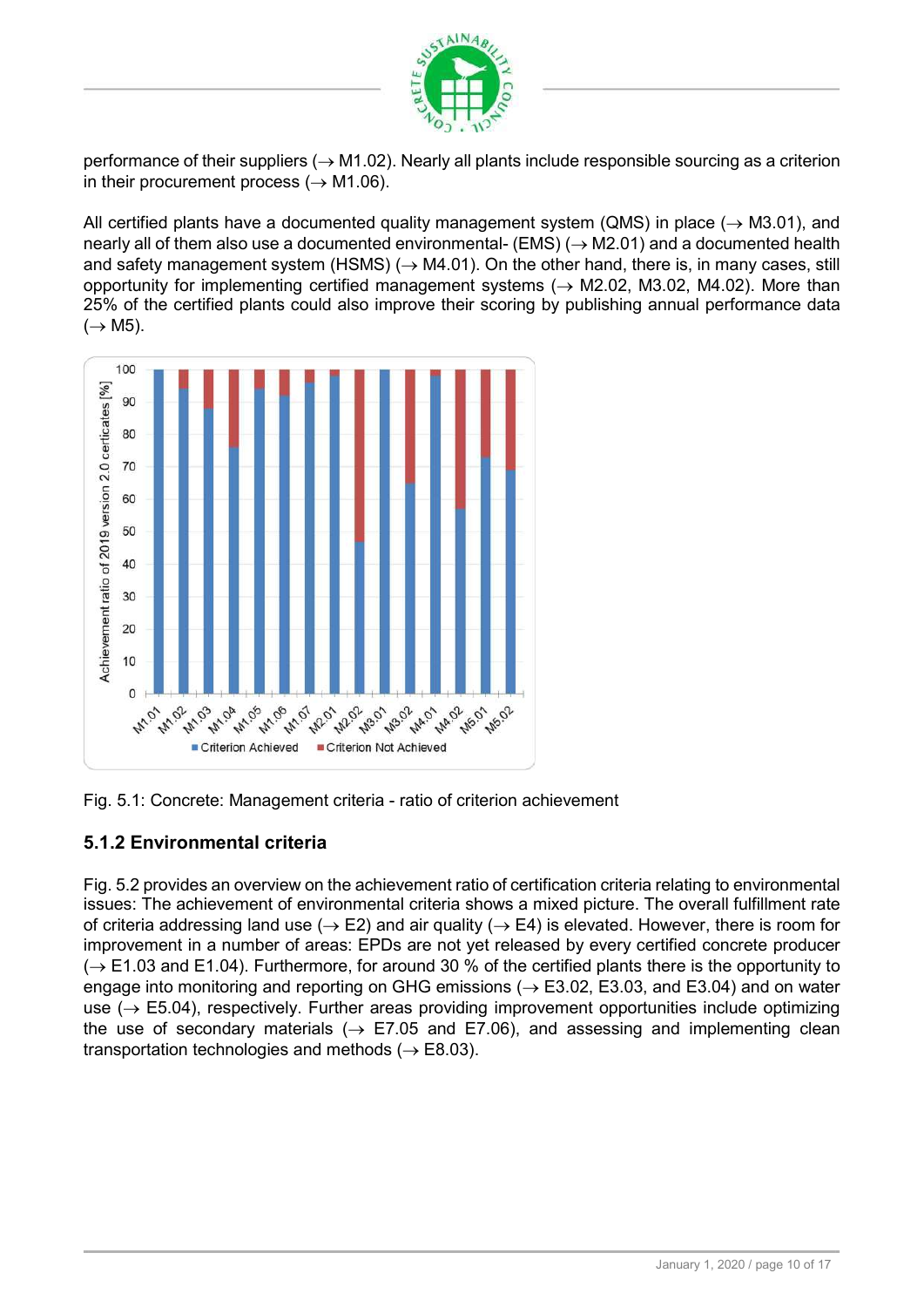

performance of their suppliers ( $\rightarrow$  M1.02). Nearly all plants include responsible sourcing as a criterion in their procurement process  $(\rightarrow M1.06)$ .

All certified plants have a documented quality management system (QMS) in place ( $\rightarrow$  M3.01), and nearly all of them also use a documented environmental- (EMS)  $(\rightarrow M2.01)$  and a documented health and safety management system (HSMS)  $($   $\rightarrow$  M4.01). On the other hand, there is, in many cases, still opportunity for implementing certified management systems ( $\rightarrow$  M2.02, M3.02, M4.02). More than 25% of the certified plants could also improve their scoring by publishing annual performance data  $(\rightarrow$  M5).



Fig. 5.1: Concrete: Management criteria - ratio of criterion achievement

#### 5.1.2 Environmental criteria

Fig. 5.2 provides an overview on the achievement ratio of certification criteria relating to environmental issues: The achievement of environmental criteria shows a mixed picture. The overall fulfillment rate of criteria addressing land use ( $\rightarrow$  E2) and air quality ( $\rightarrow$  E4) is elevated. However, there is room for improvement in a number of areas: EPDs are not yet released by every certified concrete producer  $\rightarrow$  E1.03 and E1.04). Furthermore, for around 30 % of the certified plants there is the opportunity to engage into monitoring and reporting on GHG emissions ( $\rightarrow$  E3.02, E3.03, and E3.04) and on water use  $(\rightarrow$  E5.04), respectively. Further areas providing improvement opportunities include optimizing the use of secondary materials ( $\rightarrow$  E7.05 and E7.06), and assessing and implementing clean transportation technologies and methods ( $\rightarrow$  E8.03).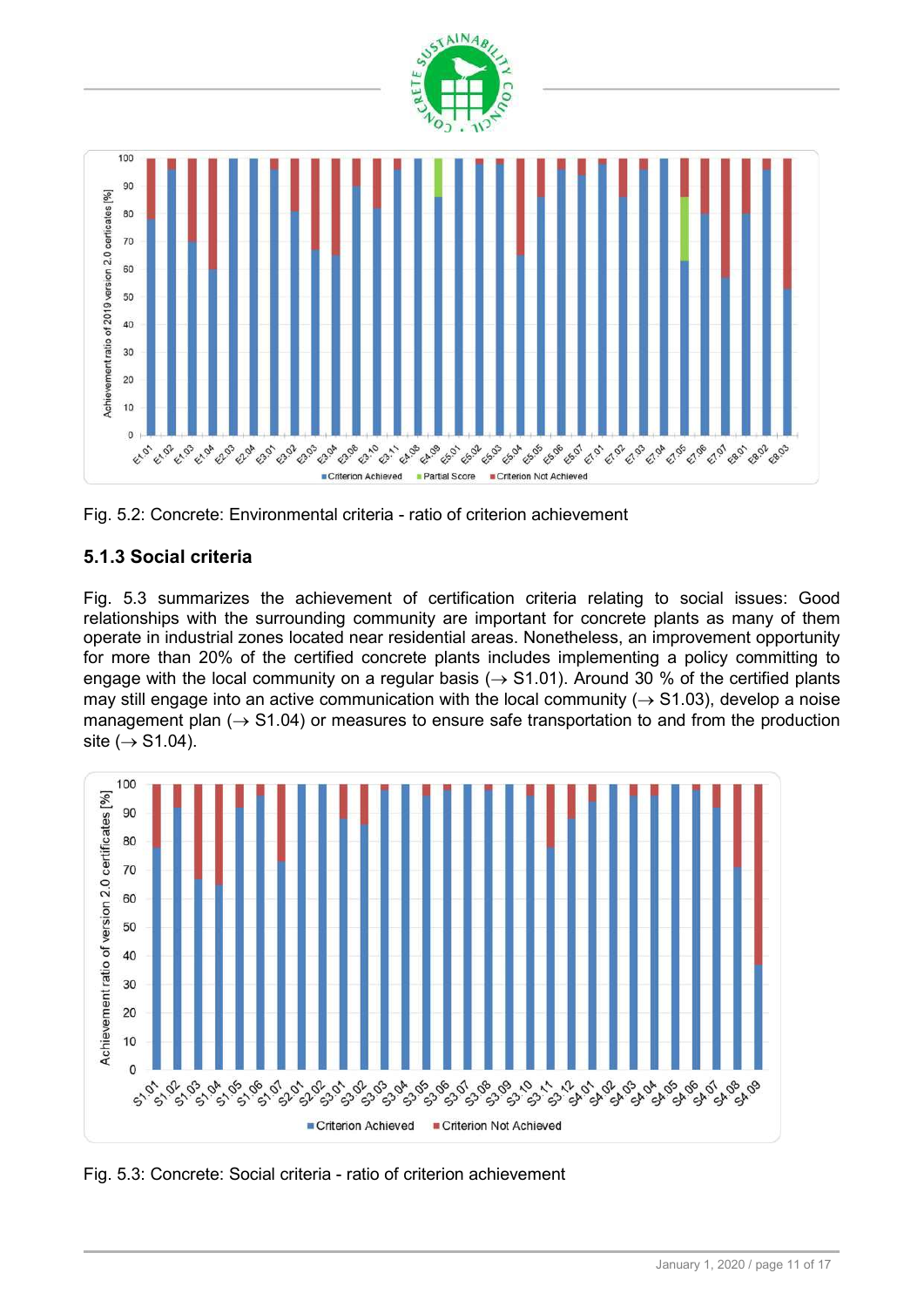



#### 5.1.3 Social criteria

Fig. 5.3 summarizes the achievement of certification criteria relating to social issues: Good relationships with the surrounding community are important for concrete plants as many of them operate in industrial zones located near residential areas. Nonetheless, an improvement opportunity for more than 20% of the certified concrete plants includes implementing a policy committing to engage with the local community on a regular basis ( $\rightarrow$  S1.01). Around 30 % of the certified plants may still engage into an active communication with the local community ( $\rightarrow$  S1.03), develop a noise management plan ( $\rightarrow$  S1.04) or measures to ensure safe transportation to and from the production site  $(\rightarrow$  S1.04).



Fig. 5.3: Concrete: Social criteria - ratio of criterion achievement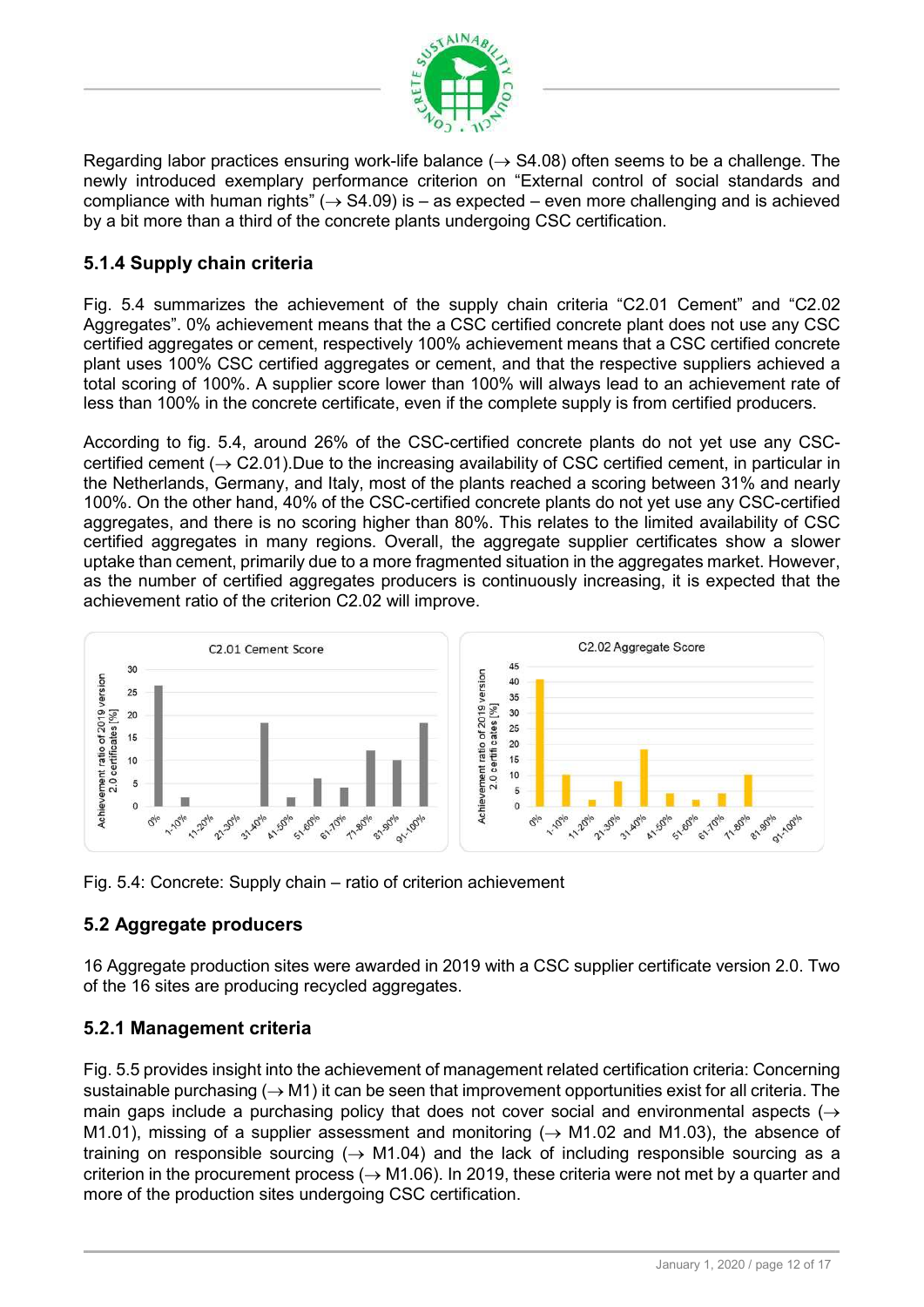

Regarding labor practices ensuring work-life balance ( $\rightarrow$  S4.08) often seems to be a challenge. The newly introduced exemplary performance criterion on "External control of social standards and compliance with human rights"  $($   $\rightarrow$  S4.09) is – as expected – even more challenging and is achieved by a bit more than a third of the concrete plants undergoing CSC certification.

## 5.1.4 Supply chain criteria

Fig. 5.4 summarizes the achievement of the supply chain criteria "C2.01 Cement" and "C2.02 Aggregates". 0% achievement means that the a CSC certified concrete plant does not use any CSC certified aggregates or cement, respectively 100% achievement means that a CSC certified concrete plant uses 100% CSC certified aggregates or cement, and that the respective suppliers achieved a total scoring of 100%. A supplier score lower than 100% will always lead to an achievement rate of less than 100% in the concrete certificate, even if the complete supply is from certified producers.

According to fig. 5.4, around 26% of the CSC-certified concrete plants do not yet use any CSCcertified cement ( $\rightarrow$  C2.01). Due to the increasing availability of CSC certified cement, in particular in the Netherlands, Germany, and Italy, most of the plants reached a scoring between 31% and nearly 100%. On the other hand, 40% of the CSC-certified concrete plants do not yet use any CSC-certified aggregates, and there is no scoring higher than 80%. This relates to the limited availability of CSC certified aggregates in many regions. Overall, the aggregate supplier certificates show a slower uptake than cement, primarily due to a more fragmented situation in the aggregates market. However, as the number of certified aggregates producers is continuously increasing, it is expected that the achievement ratio of the criterion C2.02 will improve.



Fig. 5.4: Concrete: Supply chain – ratio of criterion achievement

#### 5.2 Aggregate producers

16 Aggregate production sites were awarded in 2019 with a CSC supplier certificate version 2.0. Two of the 16 sites are producing recycled aggregates.

#### 5.2.1 Management criteria

Fig. 5.5 provides insight into the achievement of management related certification criteria: Concerning sustainable purchasing ( $\rightarrow$  M1) it can be seen that improvement opportunities exist for all criteria. The main gaps include a purchasing policy that does not cover social and environmental aspects  $(\rightarrow$ M1.01), missing of a supplier assessment and monitoring ( $\rightarrow$  M1.02 and M1.03), the absence of training on responsible sourcing ( $\rightarrow$  M1.04) and the lack of including responsible sourcing as a criterion in the procurement process ( $\rightarrow$  M1.06). In 2019, these criteria were not met by a quarter and more of the production sites undergoing CSC certification.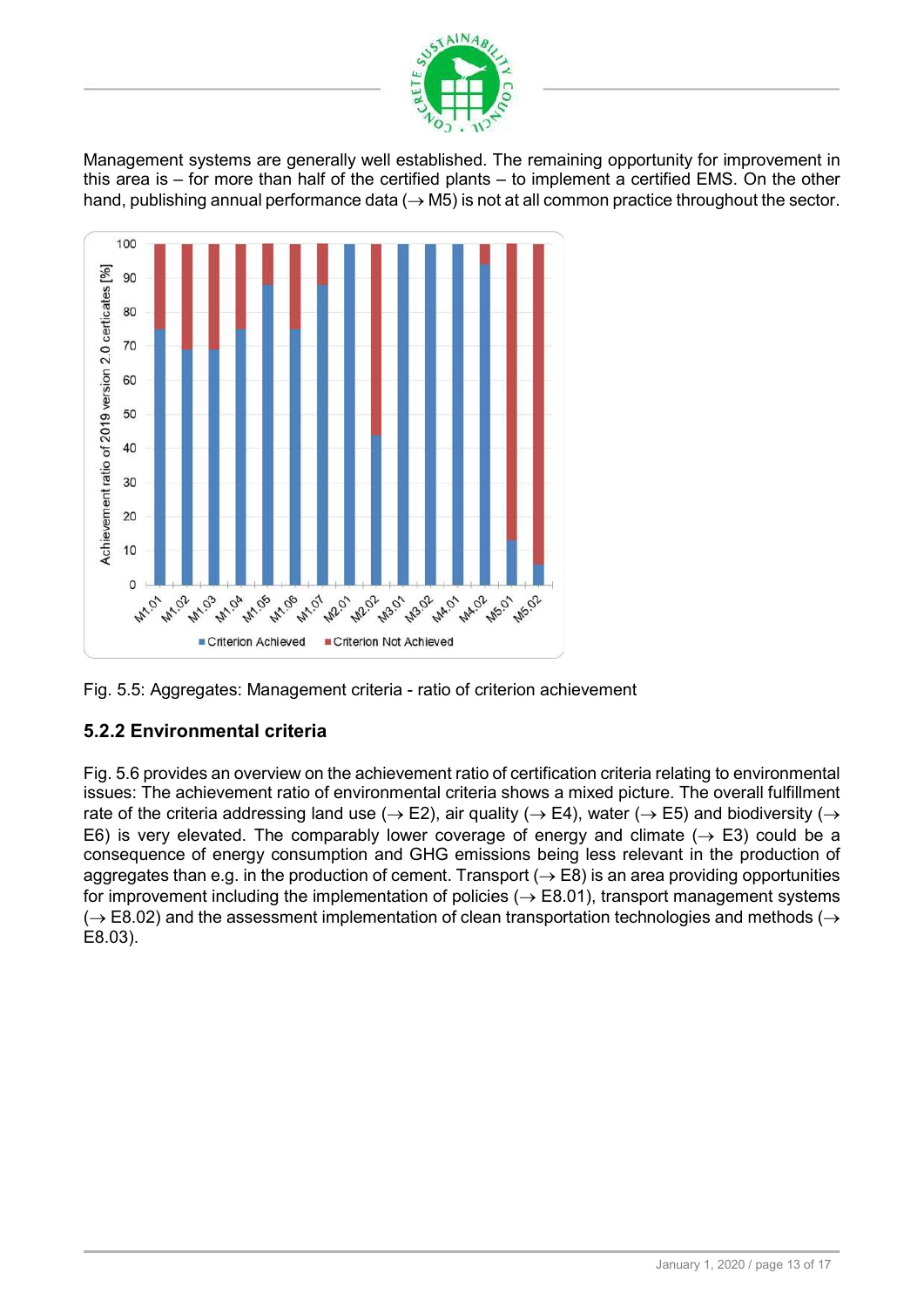

Management systems are generally well established. The remaining opportunity for improvement in this area is – for more than half of the certified plants – to implement a certified EMS. On the other hand, publishing annual performance data ( $\rightarrow$  M5) is not at all common practice throughout the sector.





## 5.2.2 Environmental criteria

Fig. 5.6 provides an overview on the achievement ratio of certification criteria relating to environmental issues: The achievement ratio of environmental criteria shows a mixed picture. The overall fulfillment rate of the criteria addressing land use ( $\rightarrow$  E2), air quality ( $\rightarrow$  E4), water ( $\rightarrow$  E5) and biodiversity ( $\rightarrow$ E6) is very elevated. The comparably lower coverage of energy and climate ( $\rightarrow$  E3) could be a consequence of energy consumption and GHG emissions being less relevant in the production of aggregates than e.g. in the production of cement. Transport ( $\rightarrow$  E8) is an area providing opportunities for improvement including the implementation of policies ( $\rightarrow$  E8.01), transport management systems  $(\rightarrow$  E8.02) and the assessment implementation of clean transportation technologies and methods ( $\rightarrow$ E8.03).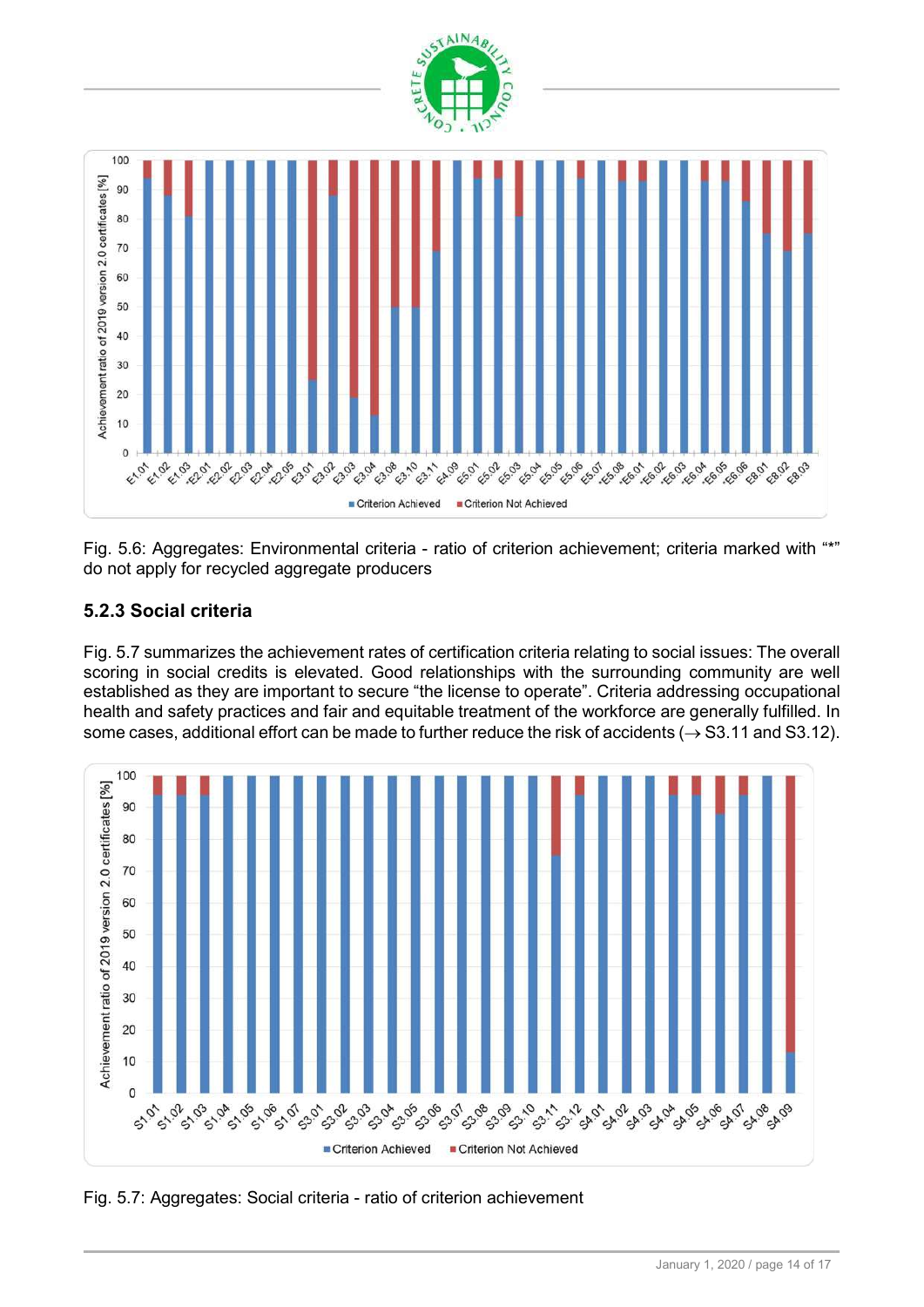

Fig. 5.6: Aggregates: Environmental criteria - ratio of criterion achievement; criteria marked with "\*" do not apply for recycled aggregate producers

## 5.2.3 Social criteria

Fig. 5.7 summarizes the achievement rates of certification criteria relating to social issues: The overall scoring in social credits is elevated. Good relationships with the surrounding community are well established as they are important to secure "the license to operate". Criteria addressing occupational health and safety practices and fair and equitable treatment of the workforce are generally fulfilled. In some cases, additional effort can be made to further reduce the risk of accidents ( $\rightarrow$  S3.11 and S3.12).



Fig. 5.7: Aggregates: Social criteria - ratio of criterion achievement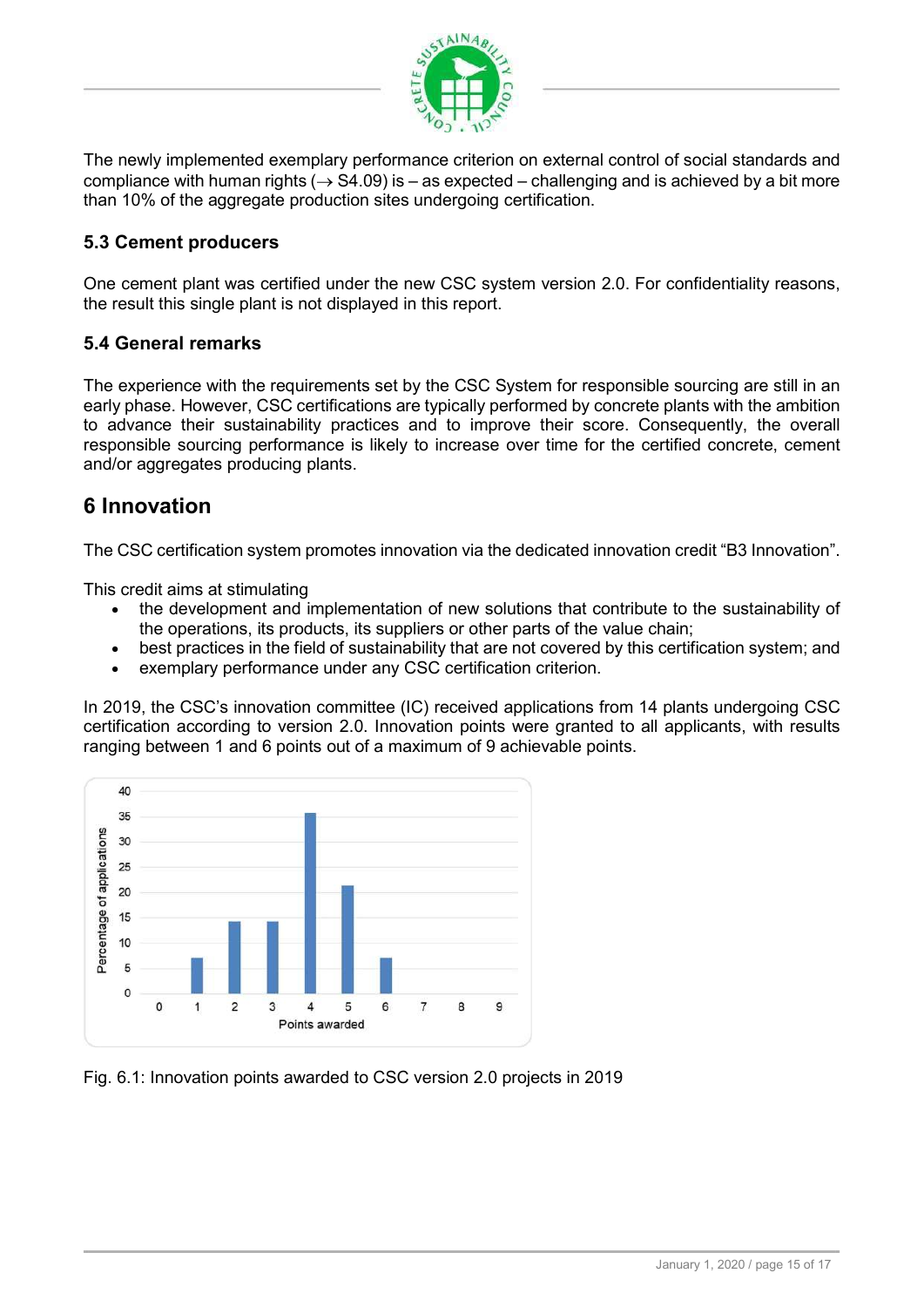

The newly implemented exemplary performance criterion on external control of social standards and compliance with human rights ( $\rightarrow$  S4.09) is – as expected – challenging and is achieved by a bit more than 10% of the aggregate production sites undergoing certification.

#### 5.3 Cement producers

One cement plant was certified under the new CSC system version 2.0. For confidentiality reasons, the result this single plant is not displayed in this report.

#### 5.4 General remarks

The experience with the requirements set by the CSC System for responsible sourcing are still in an early phase. However, CSC certifications are typically performed by concrete plants with the ambition to advance their sustainability practices and to improve their score. Consequently, the overall responsible sourcing performance is likely to increase over time for the certified concrete, cement and/or aggregates producing plants.

## 6 Innovation

The CSC certification system promotes innovation via the dedicated innovation credit "B3 Innovation".

This credit aims at stimulating

- the development and implementation of new solutions that contribute to the sustainability of the operations, its products, its suppliers or other parts of the value chain;
- best practices in the field of sustainability that are not covered by this certification system; and
- exemplary performance under any CSC certification criterion.

In 2019, the CSC's innovation committee (IC) received applications from 14 plants undergoing CSC certification according to version 2.0. Innovation points were granted to all applicants, with results ranging between 1 and 6 points out of a maximum of 9 achievable points.



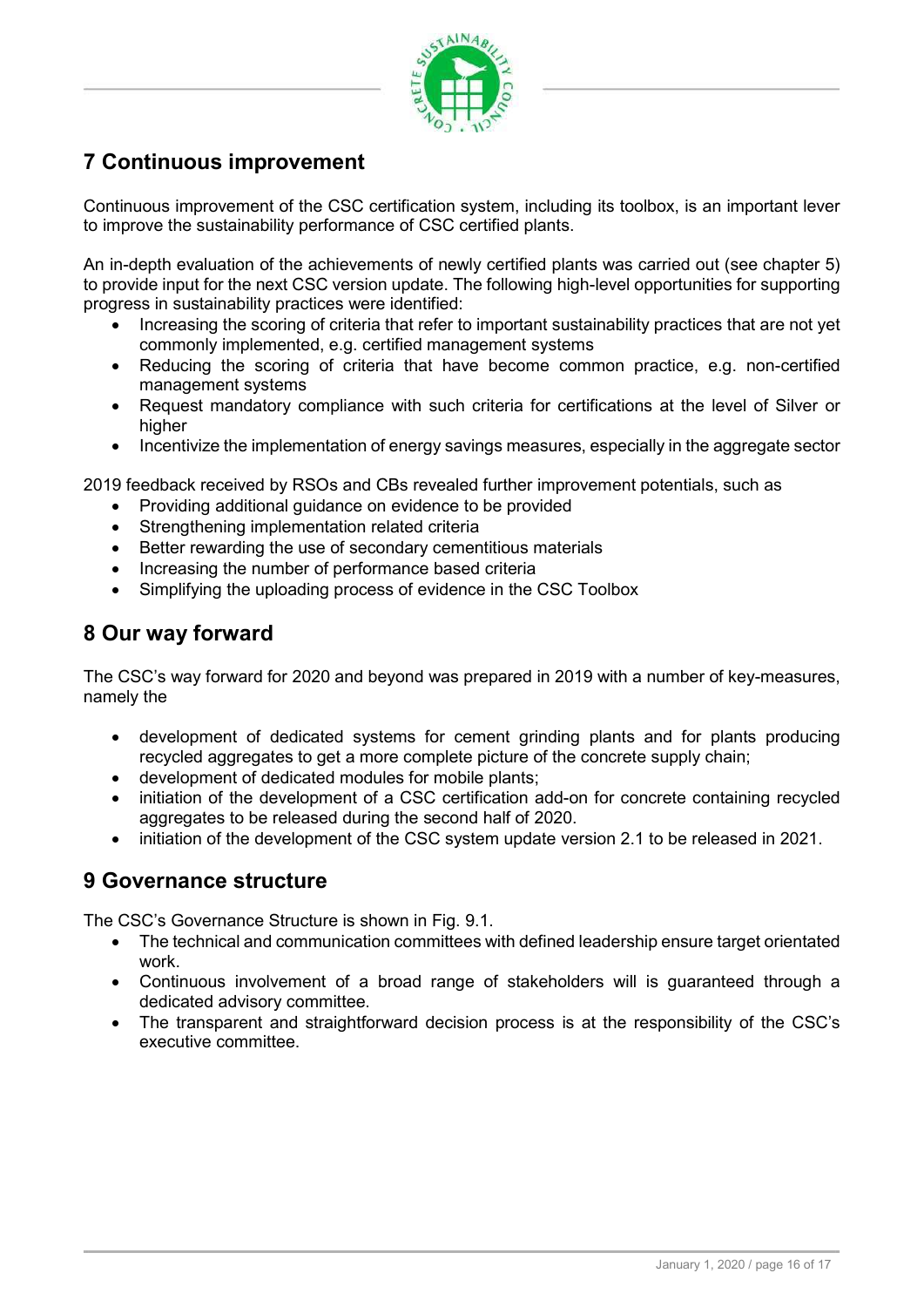

# 7 Continuous improvement

Continuous improvement of the CSC certification system, including its toolbox, is an important lever to improve the sustainability performance of CSC certified plants.

An in-depth evaluation of the achievements of newly certified plants was carried out (see chapter 5) to provide input for the next CSC version update. The following high-level opportunities for supporting progress in sustainability practices were identified:

- Increasing the scoring of criteria that refer to important sustainability practices that are not yet commonly implemented, e.g. certified management systems
- Reducing the scoring of criteria that have become common practice, e.g. non-certified management systems
- Request mandatory compliance with such criteria for certifications at the level of Silver or higher
- Incentivize the implementation of energy savings measures, especially in the aggregate sector

2019 feedback received by RSOs and CBs revealed further improvement potentials, such as

- Providing additional guidance on evidence to be provided
- Strengthening implementation related criteria
- Better rewarding the use of secondary cementitious materials
- Increasing the number of performance based criteria
- Simplifying the uploading process of evidence in the CSC Toolbox

# 8 Our way forward

The CSC's way forward for 2020 and beyond was prepared in 2019 with a number of key-measures, namely the

- development of dedicated systems for cement grinding plants and for plants producing recycled aggregates to get a more complete picture of the concrete supply chain;
- development of dedicated modules for mobile plants;
- initiation of the development of a CSC certification add-on for concrete containing recycled aggregates to be released during the second half of 2020.
- initiation of the development of the CSC system update version 2.1 to be released in 2021.

#### 9 Governance structure

The CSC's Governance Structure is shown in Fig. 9.1.

- The technical and communication committees with defined leadership ensure target orientated work.
- Continuous involvement of a broad range of stakeholders will is guaranteed through a dedicated advisory committee.
- The transparent and straightforward decision process is at the responsibility of the CSC's executive committee.